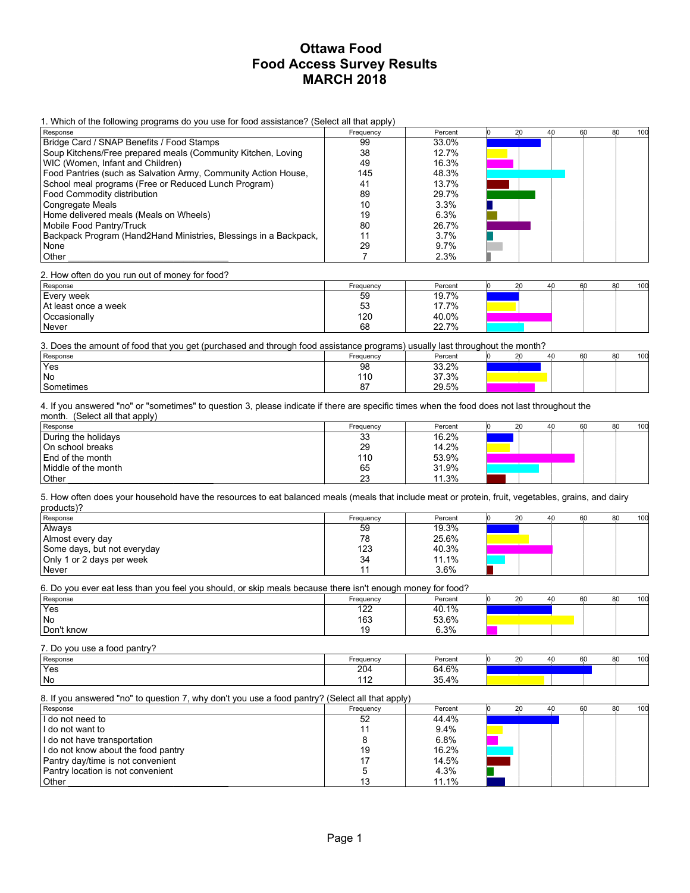1. Which of the following programs do you use for food assistance? (Select all that apply)

| Response                                                         | .<br>Frequency | Percent | 20 | 40 | 60 | 80 | 100 |
|------------------------------------------------------------------|----------------|---------|----|----|----|----|-----|
| Bridge Card / SNAP Benefits / Food Stamps                        | 99             | 33.0%   |    |    |    |    |     |
| Soup Kitchens/Free prepared meals (Community Kitchen, Loving     | 38             | 12.7%   |    |    |    |    |     |
| WIC (Women, Infant and Children)                                 | 49             | 16.3%   |    |    |    |    |     |
| Food Pantries (such as Salvation Army, Community Action House,   | 145            | 48.3%   |    |    |    |    |     |
| School meal programs (Free or Reduced Lunch Program)             | 41             | 13.7%   |    |    |    |    |     |
| Food Commodity distribution                                      | 89             | 29.7%   |    |    |    |    |     |
| Congregate Meals                                                 | 10             | 3.3%    |    |    |    |    |     |
| Home delivered meals (Meals on Wheels)                           | 19             | 6.3%    |    |    |    |    |     |
| Mobile Food Pantry/Truck                                         | 80             | 26.7%   |    |    |    |    |     |
| Backpack Program (Hand2Hand Ministries, Blessings in a Backpack, |                | 3.7%    |    |    |    |    |     |
| None                                                             | 29             | 9.7%    |    |    |    |    |     |
| Other                                                            |                | 2.3%    |    |    |    |    |     |

2. How often do you run out of money for food?

| Response               | Frequency | Percent | 20 | 40 | 80<br>60 | 100 |
|------------------------|-----------|---------|----|----|----------|-----|
| Every week             | 59        | 19.7%   |    |    |          |     |
| l At least once a week | 53        | 17.7%   |    |    |          |     |
| Occasionally           | 120       | 40.0%   |    |    |          |     |
| Never                  | 68        | 22.7%   |    |    |          |     |

3. Does the amount of food that you get (purchased and through food assistance programs) usually last throughout the month?

| Response        | Frequency | Percent | 20 | 40 | 60 | 80 | 100 |
|-----------------|-----------|---------|----|----|----|----|-----|
| 'Yes            | 98        | 33.2%   |    |    |    |    |     |
| <sup>I</sup> No | 110       | 37.3%   |    |    |    |    |     |
| l Sometimes     | $\sim$    | 29.5%   |    |    |    |    |     |

4. If you answered "no" or "sometimes" to question 3, please indicate if there are specific times when the food does not last throughout the month. (Select all that apply)

| Response            | Frequency | Percent | 20 | 40 | 60 | 80 | 100 |
|---------------------|-----------|---------|----|----|----|----|-----|
| During the holidays | 33        | 16.2%   |    |    |    |    |     |
| On school breaks    | 29        | 14.2%   |    |    |    |    |     |
| End of the month    | 110       | 53.9%   |    |    |    |    |     |
| Middle of the month | 65        | 31.9%   |    |    |    |    |     |
| Other               | 23        | 11.3%   |    |    |    |    |     |

5. How often does your household have the resources to eat balanced meals (meals that include meat or protein, fruit, vegetables, grains, and dairy products)?

| Response                    | Frequency | Percent | 20 | 40 | 60 | 80 | 100 |
|-----------------------------|-----------|---------|----|----|----|----|-----|
| Always                      | 59        | 19.3%   |    |    |    |    |     |
| Almost every day            | 78        | 25.6%   |    |    |    |    |     |
| Some days, but not everyday | 123       | 40.3%   |    |    |    |    |     |
| Only 1 or 2 days per week   | 34        | 11.1%   |    |    |    |    |     |
| Never                       |           | 3.6%    |    |    |    |    |     |

6. Do you ever eat less than you feel you should, or skip meals because there isn't enough money for food?

| Response   | Frequency             | Percent | $\sim$ | 40 | 60 | 80 | 100 |
|------------|-----------------------|---------|--------|----|----|----|-----|
| 'Yes       | د م                   | 40.1%   |        |    |    |    |     |
| l No       | $122$<br>163          | 53.6%   |        |    |    |    |     |
| Don't know | $\overline{10}$<br>ıУ | 6.3%    |        |    |    |    |     |

7. Do you use a food pantry?

| Response | Freauency                       | Percent                | $\sim$ | $\Delta \Gamma$ | 60 | 80 | 100 |
|----------|---------------------------------|------------------------|--------|-----------------|----|----|-----|
| 'Yes     | 204                             | 64.6%                  |        |                 |    |    |     |
| No       | $\overline{\phantom{a}}$<br>. . | $354\%$<br><b>UU.T</b> |        |                 |    |    |     |

#### 8. If you answered "no" to question 7, why don't you use a food pantry? (Select all that apply)

| Response                            | Frequency | Percent | 20 | 60 | 80 | 100 |
|-------------------------------------|-----------|---------|----|----|----|-----|
| I do not need to                    | 52        | 44.4%   |    |    |    |     |
| I do not want to                    |           | 9.4%    |    |    |    |     |
| I do not have transportation        |           | 6.8%    |    |    |    |     |
| I do not know about the food pantry | 19        | 16.2%   |    |    |    |     |
| Pantry day/time is not convenient   |           | 14.5%   |    |    |    |     |
| Pantry location is not convenient   |           | 4.3%    |    |    |    |     |
| Other                               |           | 11.1%   |    |    |    |     |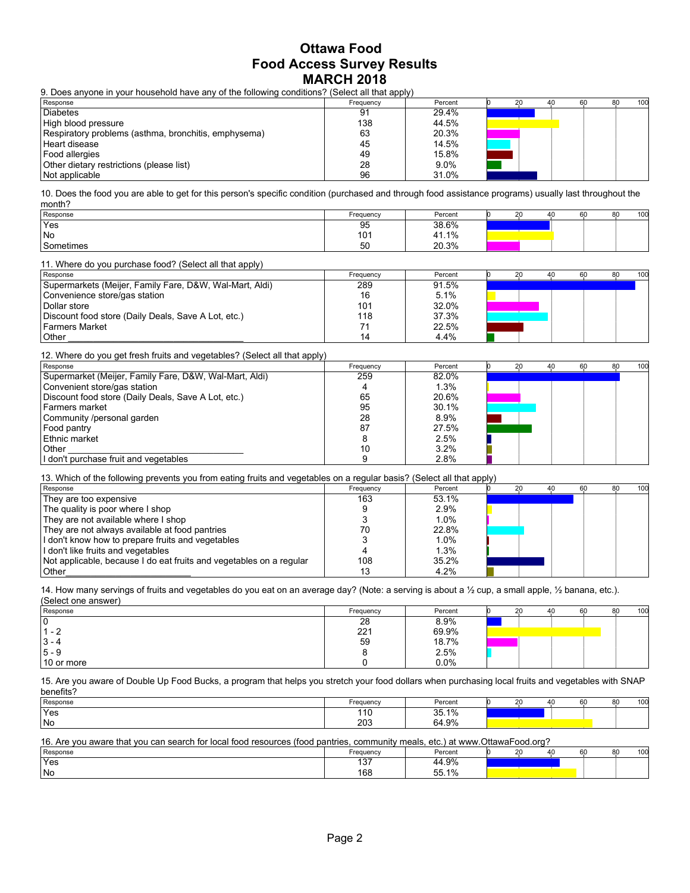9. Does anyone in your household have any of the following conditions? (Select all that apply)

| Response                                             | .<br>Frequency | Percent | 40 | 60 | 80 | 100 |
|------------------------------------------------------|----------------|---------|----|----|----|-----|
| <b>Diabetes</b>                                      | 91             | 29.4%   |    |    |    |     |
| High blood pressure                                  | 138            | 44.5%   |    |    |    |     |
| Respiratory problems (asthma, bronchitis, emphysema) | 63             | 20.3%   |    |    |    |     |
| Heart disease                                        | 45             | 14.5%   |    |    |    |     |
| Food allergies                                       | 49             | 15.8%   |    |    |    |     |
| Other dietary restrictions (please list)             | 28             | 9.0%    |    |    |    |     |
| Not applicable                                       | 96             | 31.0%   |    |    |    |     |

10. Does the food you are able to get for this person's specific condition (purchased and through food assistance programs) usually last throughout the month?

| Response  | Frequency | Percent     | $\sim$<br>2υ | 60<br>40 | 80 | 100 |
|-----------|-----------|-------------|--------------|----------|----|-----|
| 'Yes      | 95        | 38.6%       |              |          |    |     |
| No        | 101       | 41.1%<br>41 |              |          |    |     |
| Sometimes | -0<br>5U  | 20.3%       |              |          |    |     |

11. Where do you purchase food? (Select all that apply)

| Response                                                | Frequency | Percent |  | 40 | 60 | 80 | 100 |
|---------------------------------------------------------|-----------|---------|--|----|----|----|-----|
| Supermarkets (Meijer, Family Fare, D&W, Wal-Mart, Aldi) | 289       | 91.5%   |  |    |    |    |     |
| Convenience store/gas station                           | 16        | 5.1%    |  |    |    |    |     |
| l Dollar store                                          | 101       | 32.0%   |  |    |    |    |     |
| Discount food store (Daily Deals, Save A Lot, etc.)     | 118       | 37.3%   |  |    |    |    |     |
| Farmers Market                                          |           | 22.5%   |  |    |    |    |     |
| Other                                                   | 14        | 4.4%    |  |    |    |    |     |

12. Where do you get fresh fruits and vegetables? (Select all that apply)

| .<br>Response                                          | Frequency | Percent |  | 40 | 60 | 80 | 100 |
|--------------------------------------------------------|-----------|---------|--|----|----|----|-----|
| Supermarket (Meijer, Family Fare, D&W, Wal-Mart, Aldi) | 259       | 82.0%   |  |    |    |    |     |
| Convenient store/gas station                           |           | 1.3%    |  |    |    |    |     |
| Discount food store (Daily Deals, Save A Lot, etc.)    | 65        | 20.6%   |  |    |    |    |     |
| Farmers market                                         | 95        | 30.1%   |  |    |    |    |     |
| Community /personal garden                             | 28        | 8.9%    |  |    |    |    |     |
| Food pantry                                            | 87        | 27.5%   |  |    |    |    |     |
| Ethnic market                                          |           | 2.5%    |  |    |    |    |     |
| l Other                                                |           | 3.2%    |  |    |    |    |     |
| I don't purchase fruit and vegetables                  |           | 2.8%    |  |    |    |    |     |

13. Which of the following prevents you from eating fruits and vegetables on a regular basis? (Select all that apply)

| Response                                                            | Frequency | Percent |  | 60 | 80 | 100 |
|---------------------------------------------------------------------|-----------|---------|--|----|----|-----|
| They are too expensive                                              | 163       | 53.1%   |  |    |    |     |
| The quality is poor where I shop                                    |           | 2.9%    |  |    |    |     |
| They are not available where I shop                                 |           | 1.0%    |  |    |    |     |
| They are not always available at food pantries                      |           | 22.8%   |  |    |    |     |
| I don't know how to prepare fruits and vegetables                   |           | $1.0\%$ |  |    |    |     |
| I don't like fruits and vegetables                                  |           | 1.3%    |  |    |    |     |
| Not applicable, because I do eat fruits and vegetables on a regular | 108       | 35.2%   |  |    |    |     |
| Other                                                               |           | 4.2%    |  |    |    |     |

14. How many servings of fruits and vegetables do you eat on an average day? (Note: a serving is about a ½ cup, a small apple, ½ banana, etc.). (Select one answer)

| Response                 | Frequency | Percent | 20 | 40 | 60 | 80 | 100 |
|--------------------------|-----------|---------|----|----|----|----|-----|
| 0                        | 28        | 8.9%    |    |    |    |    |     |
| $\overline{\phantom{0}}$ | 221       | 69.9%   |    |    |    |    |     |
| 3 - 4                    | 59        | 18.7%   |    |    |    |    |     |
| $15 - 9$                 |           | 2.5%    |    |    |    |    |     |
| 10 or more               |           | 0.0%    |    |    |    |    |     |

15. Are you aware of Double Up Food Bucks, a program that helps you stretch your food dollars when purchasing local fruits and vegetables with SNAP benefits?

| Response | Frequency        | Percent                 | $\sim$<br>. . | 40 | 60 | $\sim$ $\sim$ | 100 |
|----------|------------------|-------------------------|---------------|----|----|---------------|-----|
| 'Yes     | $\cdot$ 4 $\sim$ | 25.10/<br><b>JJ.I70</b> |               |    |    |               |     |
| l No     | 203              | 64.9%                   |               |    |    |               |     |

| 16. Are you aware that you can search for local food resources (food pantries, community meals, etc.) at www.OttawaFood.org? |  |  |
|------------------------------------------------------------------------------------------------------------------------------|--|--|
|------------------------------------------------------------------------------------------------------------------------------|--|--|

| Response | Frequency            | Percent                             | $\sim$ | 40 | 60 | 80 | 100 |
|----------|----------------------|-------------------------------------|--------|----|----|----|-----|
| 'Yes     | $\sim$ $\sim$<br>ישו | 4.9%<br>44                          |        |    |    |    |     |
| l No     | 168                  | <b>EE</b><br>10/2<br><b>JJ.I</b> 70 |        |    |    |    |     |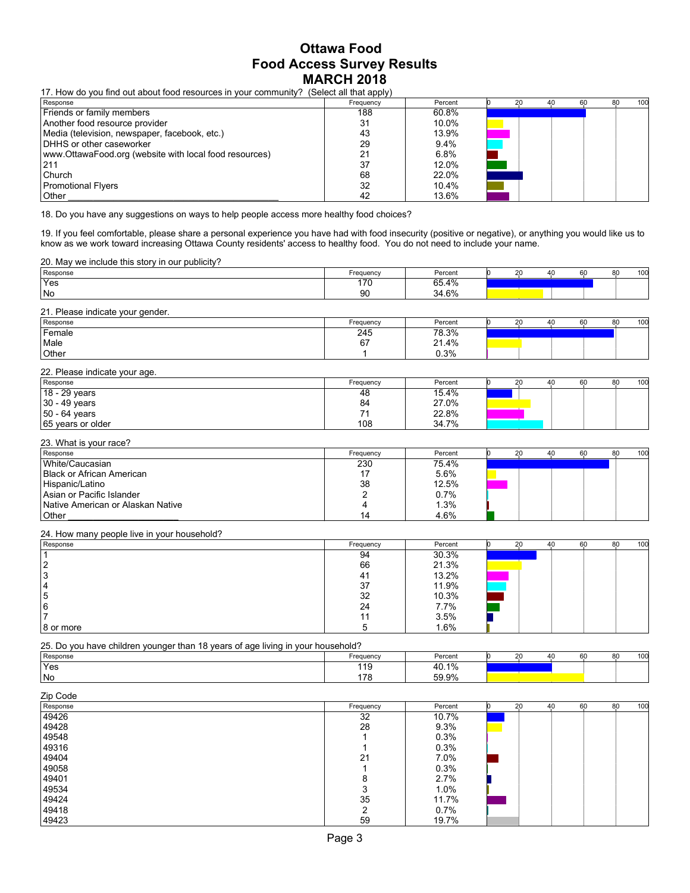17. How do you find out about food resources in your community? (Select all that apply)

| Response                                               | .<br>Frequency | Percent | 40 | 60 | 80 | 100 |
|--------------------------------------------------------|----------------|---------|----|----|----|-----|
| Friends or family members                              | 188            | 60.8%   |    |    |    |     |
| Another food resource provider                         | 31             | 10.0%   |    |    |    |     |
| Media (television, newspaper, facebook, etc.)          | 43             | 13.9%   |    |    |    |     |
| DHHS or other caseworker                               | 29             | 9.4%    |    |    |    |     |
| www.OttawaFood.org (website with local food resources) |                | 6.8%    |    |    |    |     |
| 1211                                                   | 37             | 12.0%   |    |    |    |     |
| l Church                                               | 68             | 22.0%   |    |    |    |     |
| Promotional Flyers                                     | 32             | 10.4%   |    |    |    |     |
| Other                                                  | 42             | 13.6%   |    |    |    |     |

18. Do you have any suggestions on ways to help people access more healthy food choices?

19. If you feel comfortable, please share a personal experience you have had with food insecurity (positive or negative), or anything you would like us to know as we work toward increasing Ottawa County residents' access to healthy food. You do not need to include your name.

| 20. May we include this story in our publicity? |           |         |  |    |    |     |
|-------------------------------------------------|-----------|---------|--|----|----|-----|
| Response                                        | Frequency | Percent |  | 60 | 80 | 100 |
| 'Yes                                            | 170       | 65.4%   |  |    |    |     |
| No                                              | 90        | 34.6%   |  |    |    |     |
|                                                 |           |         |  |    |    |     |

| 21. Please indicate your gender. |           |         |    |    |    |    |     |
|----------------------------------|-----------|---------|----|----|----|----|-----|
| Response                         | Frequency | Percent | 20 | 40 | 60 | 80 | 100 |
| Female                           | 245       | 78.3%   |    |    |    |    |     |
| Male                             | 67        | 21.4%   |    |    |    |    |     |
| Other                            |           | 0.3%    |    |    |    |    |     |

| 22. Please indicate your age. |           |         |    |    |    |    |     |
|-------------------------------|-----------|---------|----|----|----|----|-----|
| Response                      | Frequency | Percent | 20 | 40 | 60 | 80 | 100 |
| $18 - 29$ years               | 48        | 15.4%   |    |    |    |    |     |
| $ 30 - 49$ years              | 84        | 27.0%   |    |    |    |    |     |
| $ 50 - 64$ years              |           | 22.8%   |    |    |    |    |     |
| 65 years or older             | 108       | 34.7%   |    |    |    |    |     |

#### 23. What is your race?

| Response                          | Frequency | Percent |  | 40 | 60 | 80 | 100 |
|-----------------------------------|-----------|---------|--|----|----|----|-----|
| White/Caucasian                   | 230       | 75.4%   |  |    |    |    |     |
| <b>Black or African American</b>  |           | 5.6%    |  |    |    |    |     |
| Hispanic/Latino                   | 38        | 12.5%   |  |    |    |    |     |
| Asian or Pacific Islander         |           | 0.7%    |  |    |    |    |     |
| Native American or Alaskan Native |           | 1.3%    |  |    |    |    |     |
| Other                             | 14        | 4.6%    |  |    |    |    |     |

24. How many people live in your household?

| ___<br>Response | Frequency | Percent | 20 | 40 | 60 | 80 | 100 |
|-----------------|-----------|---------|----|----|----|----|-----|
|                 | 94        | 30.3%   |    |    |    |    |     |
| ຳ               | 66        | 21.3%   |    |    |    |    |     |
| 3               | 41        | 13.2%   |    |    |    |    |     |
| 4               | 37        | 11.9%   |    |    |    |    |     |
| 15              | 32        | 10.3%   |    |    |    |    |     |
| 16              | 24        | 7.7%    |    |    |    |    |     |
|                 |           | 3.5%    |    |    |    |    |     |
| 8 or more       |           | 1.6%    |    |    |    |    |     |

25. Do you have children younger than 18 years of age living in your household?

| Response | Frequency        | Percent           | $\sim$<br>ı                       | 60<br>Δſ | 80 | 100 |
|----------|------------------|-------------------|-----------------------------------|----------|----|-----|
| 'Yes     | 140<br><b>10</b> | 10.10/<br>rv. 17  |                                   |          |    |     |
| No       | 178              | 59.9%<br>JJ.J / 1 | the control of the control of the |          |    |     |

| Zip Code |           |         |    |    |    |    |     |
|----------|-----------|---------|----|----|----|----|-----|
| Response | Frequency | Percent | 20 | 40 | 60 | 80 | 100 |
| 49426    | 32        | 10.7%   |    |    |    |    |     |
| 49428    | 28        | 9.3%    |    |    |    |    |     |
| 49548    |           | 0.3%    |    |    |    |    |     |
| 49316    |           | 0.3%    |    |    |    |    |     |
| 49404    | 21        | 7.0%    |    |    |    |    |     |
| 49058    |           | 0.3%    |    |    |    |    |     |
| 49401    | 8         | 2.7%    |    |    |    |    |     |
| 49534    | 3         | 1.0%    |    |    |    |    |     |
| 49424    | 35        | 11.7%   |    |    |    |    |     |
| 49418    | ົ         | 0.7%    |    |    |    |    |     |
| 49423    | 59        | 19.7%   |    |    |    |    |     |